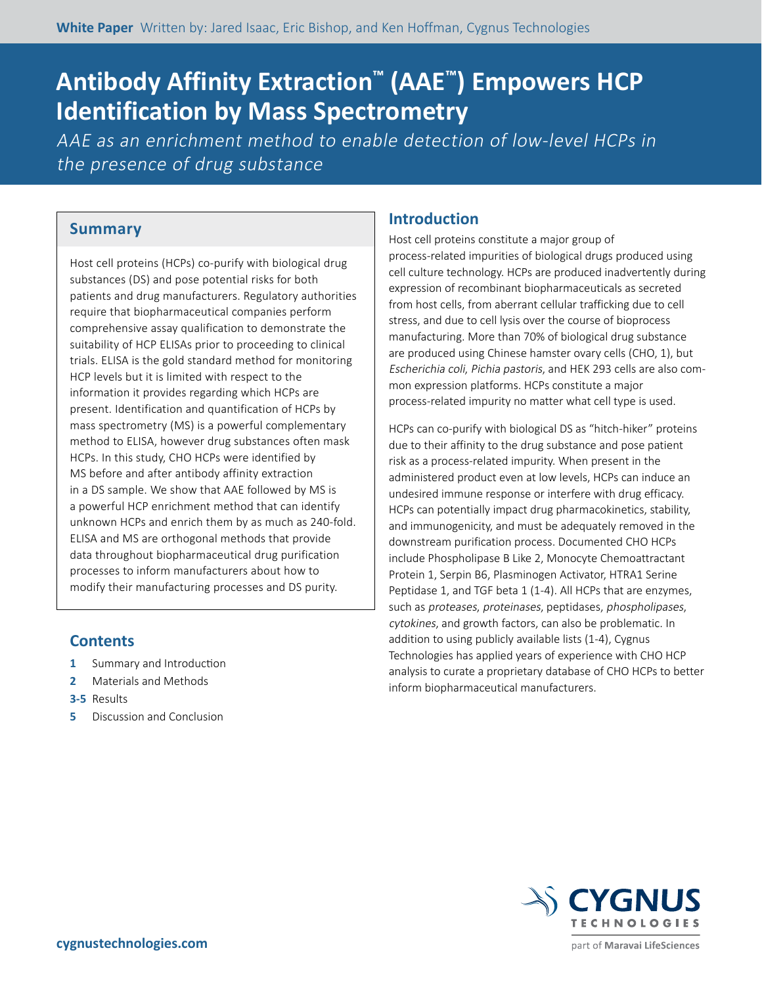# **Antibody Affinity Extraction™ (AAE™) Empowers HCP Identification by Mass Spectrometry**

AAE as an enrichment method to enable detection of low-level HCPs in the presence of drug substance

# **Summary**

Host cell proteins (HCPs) co-purify with biological drug substances (DS) and pose potential risks for both patients and drug manufacturers. Regulatory authorities require that biopharmaceutical companies perform comprehensive assay qualification to demonstrate the suitability of HCP ELISAs prior to proceeding to clinical trials. ELISA is the gold standard method for monitoring HCP levels but it is limited with respect to the information it provides regarding which HCPs are present. Identification and quantification of HCPs by mass spectrometry (MS) is a powerful complementary method to ELISA, however drug substances often mask HCPs. In this study, CHO HCPs were identified by MS before and after antibody affinity extraction in a DS sample. We show that AAE followed by MS is a powerful HCP enrichment method that can identify unknown HCPs and enrich them by as much as 240-fold. ELISA and MS are orthogonal methods that provide data throughout biopharmaceutical drug purification processes to inform manufacturers about how to modify their manufacturing processes and DS purity.

# **Contents**

- **1** Summary and Introduction
- **2** Materials and Methods
- **3-5** Results
- **5** Discussion and Conclusion

# **Introduction**

Host cell proteins constitute a major group of process-related impurities of biological drugs produced using cell culture technology. HCPs are produced inadvertently during expression of recombinant biopharmaceuticals as secreted from host cells, from aberrant cellular trafficking due to cell stress, and due to cell lysis over the course of bioprocess manufacturing. More than 70% of biological drug substance are produced using Chinese hamster ovary cells (CHO, 1), but Escherichia coli, Pichia pastoris, and HEK 293 cells are also common expression platforms. HCPs constitute a major process-related impurity no matter what cell type is used.

HCPs can co-purify with biological DS as "hitch-hiker" proteins due to their affinity to the drug substance and pose patient risk as a process-related impurity. When present in the administered product even at low levels, HCPs can induce an undesired immune response or interfere with drug efficacy. HCPs can potentially impact drug pharmacokinetics, stability, and immunogenicity, and must be adequately removed in the downstream purification process. Documented CHO HCPs include Phospholipase B Like 2, Monocyte Chemoattractant Protein 1, Serpin B6, Plasminogen Activator, HTRA1 Serine Peptidase 1, and TGF beta 1 (1-4). All HCPs that are enzymes, such as proteases, proteinases, peptidases, phospholipases, cytokines, and growth factors, can also be problematic. In addition to using publicly available lists (1-4), Cygnus Technologies has applied years of experience with CHO HCP analysis to curate a proprietary database of CHO HCPs to better inform biopharmaceutical manufacturers.

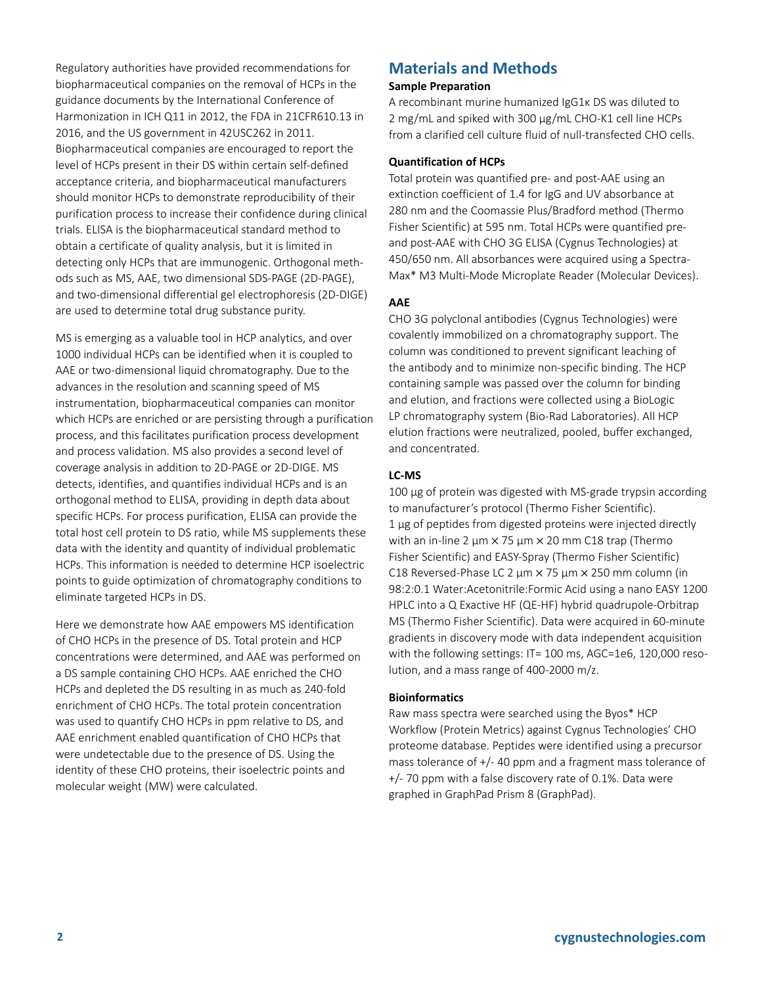Regulatory authorities have provided recommendations for biopharmaceutical companies on the removal of HCPs in the guidance documents by the International Conference of Harmonization in ICH Q11 in 2012, the FDA in 21CFR610.13 in 2016, and the US government in 42USC262 in 2011. Biopharmaceutical companies are encouraged to report the level of HCPs present in their DS within certain self-defined acceptance criteria, and biopharmaceutical manufacturers should monitor HCPs to demonstrate reproducibility of their purification process to increase their confidence during clinical trials. ELISA is the biopharmaceutical standard method to obtain a certificate of quality analysis, but it is limited in detecting only HCPs that are immunogenic. Orthogonal methods such as MS, AAE, two dimensional SDS-PAGE (2D-PAGE), and two-dimensional differential gel electrophoresis (2D-DIGE) are used to determine total drug substance purity.

MS is emerging as a valuable tool in HCP analytics, and over 1000 individual HCPs can be identified when it is coupled to AAE or two-dimensional liquid chromatography. Due to the advances in the resolution and scanning speed of MS instrumentation, biopharmaceutical companies can monitor which HCPs are enriched or are persisting through a purification process, and this facilitates purification process development and process validation. MS also provides a second level of coverage analysis in addition to 2D-PAGE or 2D-DIGE. MS detects, identifies, and quantifies individual HCPs and is an orthogonal method to ELISA, providing in depth data about specific HCPs. For process purification, ELISA can provide the total host cell protein to DS ratio, while MS supplements these data with the identity and quantity of individual problematic HCPs. This information is needed to determine HCP isoelectric points to guide optimization of chromatography conditions to eliminate targeted HCPs in DS.

Here we demonstrate how AAE empowers MS identification of CHO HCPs in the presence of DS. Total protein and HCP concentrations were determined, and AAE was performed on a DS sample containing CHO HCPs. AAE enriched the CHO HCPs and depleted the DS resulting in as much as 240-fold enrichment of CHO HCPs. The total protein concentration was used to quantify CHO HCPs in ppm relative to DS, and AAE enrichment enabled quantification of CHO HCPs that were undetectable due to the presence of DS. Using the identity of these CHO proteins, their isoelectric points and molecular weight (MW) were calculated.

# **Materials and Methods**

#### **Sample Preparation**

A recombinant murine humanized IgG1κ DS was diluted to 2 mg/mL and spiked with 300 µg/mL CHO-K1 cell line HCPs from a clarified cell culture fluid of null-transfected CHO cells.

### **Quantification of HCPs**

Total protein was quantified pre- and post-AAE using an extinction coefficient of 1.4 for IgG and UV absorbance at 280 nm and the Coomassie Plus/Bradford method (Thermo Fisher Scientific) at 595 nm. Total HCPs were quantified preand post-AAE with CHO 3G ELISA (Cygnus Technologies) at 450/650 nm. All absorbances were acquired using a Spectra-Max\* M3 Multi-Mode Microplate Reader (Molecular Devices).

### **AAE**

CHO 3G polyclonal antibodies (Cygnus Technologies) were covalently immobilized on a chromatography support. The column was conditioned to prevent significant leaching of the antibody and to minimize non-specific binding. The HCP containing sample was passed over the column for binding and elution, and fractions were collected using a BioLogic LP chromatography system (Bio-Rad Laboratories). All HCP elution fractions were neutralized, pooled, buffer exchanged, and concentrated.

### **LC-MS**

100 µg of protein was digested with MS-grade trypsin according to manufacturer's protocol (Thermo Fisher Scientific). 1 µg of peptides from digested proteins were injected directly with an in-line 2  $\mu$ m  $\times$  75  $\mu$ m  $\times$  20 mm C18 trap (Thermo Fisher Scientific) and EASY-Spray (Thermo Fisher Scientific) C18 Reversed-Phase LC 2 µm × 75 µm × 250 mm column (in 98:2:0.1 Water:Acetonitrile:Formic Acid using a nano EASY 1200 HPLC into a Q Exactive HF (QE-HF) hybrid quadrupole-Orbitrap MS (Thermo Fisher Scientific). Data were acquired in 60-minute gradients in discovery mode with data independent acquisition with the following settings: IT= 100 ms, AGC=1e6, 120,000 resolution, and a mass range of 400-2000 m/z.

### **Bioinformatics**

Raw mass spectra were searched using the Byos\* HCP Workflow (Protein Metrics) against Cygnus Technologies' CHO proteome database. Peptides were identified using a precursor mass tolerance of +/- 40 ppm and a fragment mass tolerance of +/- 70 ppm with a false discovery rate of 0.1%. Data were graphed in GraphPad Prism 8 (GraphPad).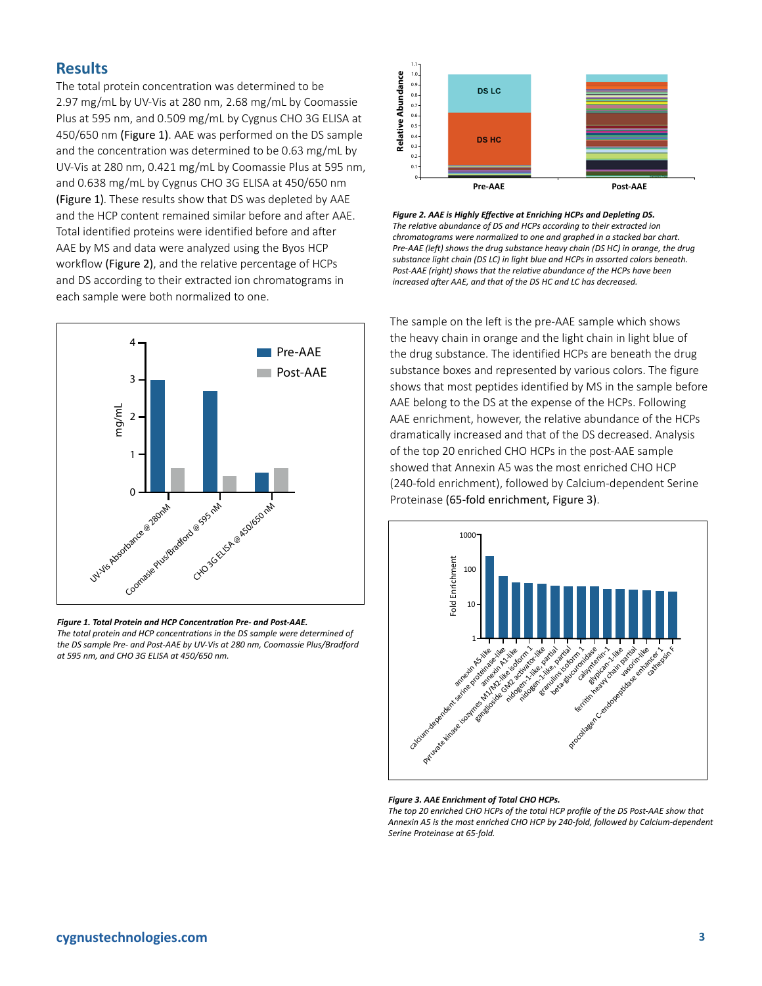# **Results**

The total protein concentration was determined to be 2.97 mg/mL by UV-Vis at 280 nm, 2.68 mg/mL by Coomassie Plus at 595 nm, and 0.509 mg/mL by Cygnus CHO 3G ELISA at 450/650 nm (Figure 1). AAE was performed on the DS sample and the concentration was determined to be 0.63 mg/mL by UV-Vis at 280 nm, 0.421 mg/mL by Coomassie Plus at 595 nm, and 0.638 mg/mL by Cygnus CHO 3G ELISA at 450/650 nm (Figure 1). These results show that DS was depleted by AAE and the HCP content remained similar before and after AAE. Total identified proteins were identified before and after AAE by MS and data were analyzed using the Byos HCP workflow (Figure 2), and the relative percentage of HCPs and DS according to their extracted ion chromatograms in each sample were both normalized to one.



#### *Figure 1. Total Protein and HCP Concentration Pre- and Post-AAE.*

*The total protein and HCP concentrations in the DS sample were determined of the DS sample Pre- and Post-AAE by UV-Vis at 280 nm, Coomassie Plus/Bradford* 



*Figure 2. AAE is Highly Effective at Enriching HCPs and Depleting DS. The relative abundance of DS and HCPs according to their extracted ion chromatograms were normalized to one and graphed in a stacked bar chart. Pre-AAE (left) shows the drug substance heavy chain (DS HC) in orange, the drug substance light chain (DS LC) in light blue and HCPs in assorted colors beneath. Post-AAE (right) shows that the relative abundance of the HCPs have been increased after AAE, and that of the DS HC and LC has decreased.* 

The sample on the left is the pre-AAE sample which shows the heavy chain in orange and the light chain in light blue of the drug substance. The identified HCPs are beneath the drug substance boxes and represented by various colors. The figure shows that most peptides identified by MS in the sample before AAE belong to the DS at the expense of the HCPs. Following AAE enrichment, however, the relative abundance of the HCPs dramatically increased and that of the DS decreased. Analysis of the top 20 enriched CHO HCPs in the post-AAE sample showed that Annexin A5 was the most enriched CHO HCP (240-fold enrichment), followed by Calcium-dependent Serine Proteinase (65-fold enrichment, Figure 3).



#### *Figure 3. AAE Enrichment of Total CHO HCPs.*

*The top 20 enriched CHO HCPs of the total HCP profile of the DS Post-AAE show that Annexin A5 is the most enriched CHO HCP by 240-fold, followed by Calcium-dependent Serine Proteinase at 65-fold.*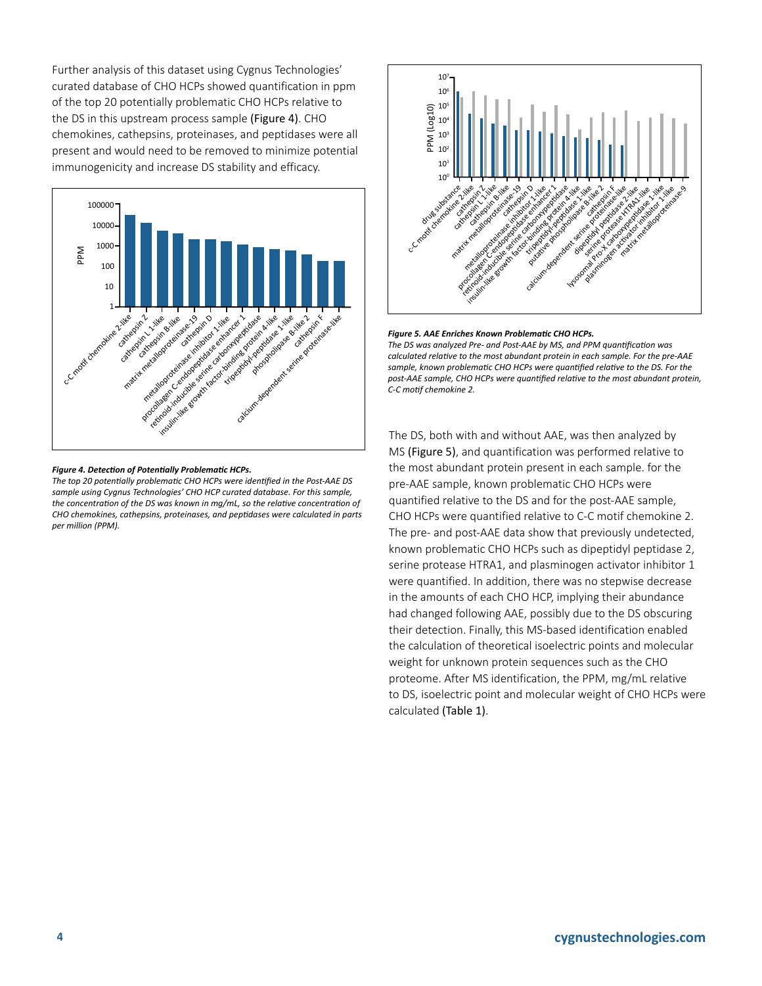Further analysis of this dataset using Cygnus Technologies' curated database of CHO HCPs showed quantification in ppm of the top 20 potentially problematic CHO HCPs relative to the DS in this upstream process sample (Figure 4). CHO chemokines, cathepsins, proteinases, and peptidases were all present and would need to be removed to minimize potential immunogenicity and increase DS stability and efficacy.



#### *Figure 4. Detection of Potentially Problematic HCPs.*

*The top 20 potentially problematic CHO HCPs were identified in the Post-AAE DS sample using Cygnus Technologies' CHO HCP curated database. For this sample, the concentration of the DS was known in mg/mL, so the relative concentration of CHO chemokines, cathepsins, proteinases, and peptidases were calculated in parts per million (PPM).*



#### *Figure 5. AAE Enriches Known Problematic CHO HCPs. The DS was analyzed Pre- and Post-AAE by MS, and PPM quantification was calculated relative to the most abundant protein in each sample. For the pre-AAE sample, known problematic CHO HCPs were quantified relative to the DS. For the post-AAE sample, CHO HCPs were quantified relative to the most abundant protein,*

*C-C motif chemokine 2.* 

The DS, both with and without AAE, was then analyzed by MS (Figure 5), and quantification was performed relative to the most abundant protein present in each sample. for the pre-AAE sample, known problematic CHO HCPs were quantified relative to the DS and for the post-AAE sample, CHO HCPs were quantified relative to C-C motif chemokine 2. The pre- and post-AAE data show that previously undetected, known problematic CHO HCPs such as dipeptidyl peptidase 2, serine protease HTRA1, and plasminogen activator inhibitor 1 were quantified. In addition, there was no stepwise decrease in the amounts of each CHO HCP, implying their abundance had changed following AAE, possibly due to the DS obscuring their detection. Finally, this MS-based identification enabled the calculation of theoretical isoelectric points and molecular weight for unknown protein sequences such as the CHO proteome. After MS identification, the PPM, mg/mL relative to DS, isoelectric point and molecular weight of CHO HCPs were calculated (Table 1).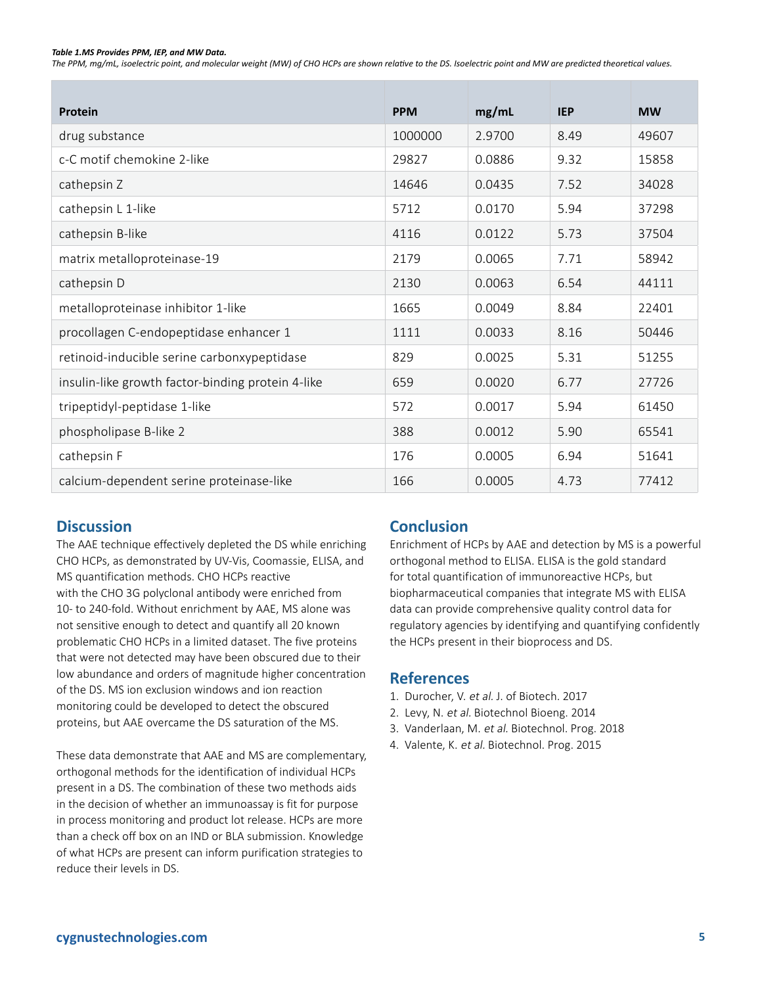#### *Table 1.MS Provides PPM, IEP, and MW Data.*

*The PPM, mg/mL, isoelectric point, and molecular weight (MW) of CHO HCPs are shown relative to the DS. Isoelectric point and MW are predicted theoretical values.* 

| Protein                                           | <b>PPM</b> | mg/mL  | <b>IEP</b> | <b>MW</b> |
|---------------------------------------------------|------------|--------|------------|-----------|
| drug substance                                    | 1000000    | 2.9700 | 8.49       | 49607     |
| c-C motif chemokine 2-like                        | 29827      | 0.0886 | 9.32       | 15858     |
| cathepsin Z                                       | 14646      | 0.0435 | 7.52       | 34028     |
| cathepsin L 1-like                                | 5712       | 0.0170 | 5.94       | 37298     |
| cathepsin B-like                                  | 4116       | 0.0122 | 5.73       | 37504     |
| matrix metalloproteinase-19                       | 2179       | 0.0065 | 7.71       | 58942     |
| cathepsin D                                       | 2130       | 0.0063 | 6.54       | 44111     |
| metalloproteinase inhibitor 1-like                | 1665       | 0.0049 | 8.84       | 22401     |
| procollagen C-endopeptidase enhancer 1            | 1111       | 0.0033 | 8.16       | 50446     |
| retinoid-inducible serine carbonxypeptidase       | 829        | 0.0025 | 5.31       | 51255     |
| insulin-like growth factor-binding protein 4-like | 659        | 0.0020 | 6.77       | 27726     |
| tripeptidyl-peptidase 1-like                      | 572        | 0.0017 | 5.94       | 61450     |
| phospholipase B-like 2                            | 388        | 0.0012 | 5.90       | 65541     |
| cathepsin F                                       | 176        | 0.0005 | 6.94       | 51641     |
| calcium-dependent serine proteinase-like          | 166        | 0.0005 | 4.73       | 77412     |

### **Discussion**

The AAE technique effectively depleted the DS while enriching CHO HCPs, as demonstrated by UV-Vis, Coomassie, ELISA, and MS quantification methods. CHO HCPs reactive with the CHO 3G polyclonal antibody were enriched from 10- to 240-fold. Without enrichment by AAE, MS alone was not sensitive enough to detect and quantify all 20 known problematic CHO HCPs in a limited dataset. The five proteins that were not detected may have been obscured due to their low abundance and orders of magnitude higher concentration of the DS. MS ion exclusion windows and ion reaction monitoring could be developed to detect the obscured proteins, but AAE overcame the DS saturation of the MS.

These data demonstrate that AAE and MS are complementary, orthogonal methods for the identification of individual HCPs present in a DS. The combination of these two methods aids in the decision of whether an immunoassay is fit for purpose in process monitoring and product lot release. HCPs are more than a check off box on an IND or BLA submission. Knowledge of what HCPs are present can inform purification strategies to reduce their levels in DS.

# **Conclusion**

Enrichment of HCPs by AAE and detection by MS is a powerful orthogonal method to ELISA. ELISA is the gold standard for total quantification of immunoreactive HCPs, but biopharmaceutical companies that integrate MS with ELISA data can provide comprehensive quality control data for regulatory agencies by identifying and quantifying confidently the HCPs present in their bioprocess and DS.

### **References**

- 1. Durocher, V. et al. J. of Biotech. 2017
- 2. Levy, N. et al. Biotechnol Bioeng. 2014
- 3. Vanderlaan, M. et al. Biotechnol. Prog. 2018
- 4. Valente, K. et al. Biotechnol. Prog. 2015